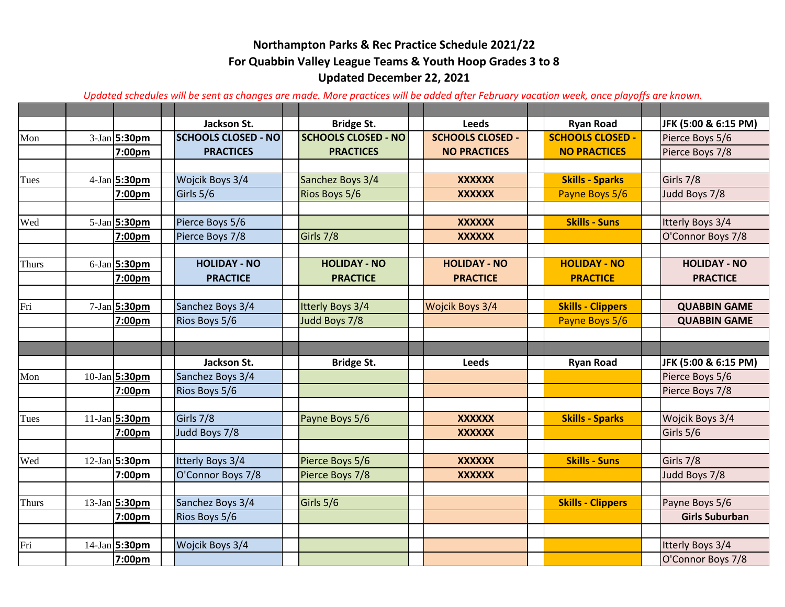## **Updated December 22, 2021 For Quabbin Valley League Teams & Youth Hoop Grades 3 to 8 Northampton Parks & Rec Practice Schedule 2021/22**

*Updated schedules will be sent as changes are made. More practices will be added after February vacation week, once playoffs are known.*

|              |                 | Jackson St.                | <b>Bridge St.</b>          | <b>Leeds</b>            | <b>Ryan Road</b>         | JFK (5:00 & 6:15 PM)  |
|--------------|-----------------|----------------------------|----------------------------|-------------------------|--------------------------|-----------------------|
| Mon          | $3-Jan$ 5:30pm  | <b>SCHOOLS CLOSED - NO</b> | <b>SCHOOLS CLOSED - NO</b> | <b>SCHOOLS CLOSED -</b> | <b>SCHOOLS CLOSED -</b>  | Pierce Boys 5/6       |
|              | 7:00pm          | <b>PRACTICES</b>           | <b>PRACTICES</b>           | <b>NO PRACTICES</b>     | <b>NO PRACTICES</b>      | Pierce Boys 7/8       |
|              |                 |                            |                            |                         |                          |                       |
| Tues         | 4-Jan 5:30pm    | Wojcik Boys 3/4            | Sanchez Boys 3/4           | <b>XXXXXX</b>           | <b>Skills - Sparks</b>   | Girls 7/8             |
|              | 7:00pm          | Girls 5/6                  | <b>Rios Boys 5/6</b>       | <b>XXXXXX</b>           | Payne Boys 5/6           | Judd Boys 7/8         |
|              |                 |                            |                            |                         |                          |                       |
| Wed          | 5-Jan 5:30pm    | Pierce Boys 5/6            |                            | <b>XXXXXX</b>           | <b>Skills - Suns</b>     | Itterly Boys 3/4      |
|              | 7:00pm          | Pierce Boys 7/8            | Girls 7/8                  | <b>XXXXXX</b>           |                          | O'Connor Boys 7/8     |
|              |                 |                            |                            |                         |                          |                       |
| Thurs        | $6$ -Jan 5:30pm | <b>HOLIDAY - NO</b>        | <b>HOLIDAY - NO</b>        | <b>HOLIDAY - NO</b>     | <b>HOLIDAY - NO</b>      | <b>HOLIDAY - NO</b>   |
|              | 7:00pm          | <b>PRACTICE</b>            | <b>PRACTICE</b>            | <b>PRACTICE</b>         | <b>PRACTICE</b>          | <b>PRACTICE</b>       |
|              |                 |                            |                            |                         |                          |                       |
| Fri          | 7-Jan 5:30pm    | Sanchez Boys 3/4           | <b>Itterly Boys 3/4</b>    | Wojcik Boys 3/4         | <b>Skills - Clippers</b> | <b>QUABBIN GAME</b>   |
|              | 7:00pm          | Rios Boys 5/6              | Judd Boys 7/8              |                         | Payne Boys 5/6           | <b>QUABBIN GAME</b>   |
|              |                 |                            |                            |                         |                          |                       |
|              |                 |                            |                            |                         |                          |                       |
|              |                 | Jackson St.                | <b>Bridge St.</b>          | <b>Leeds</b>            | <b>Ryan Road</b>         | JFK (5:00 & 6:15 PM)  |
| Mon          | 10-Jan 5:30pm   | Sanchez Boys 3/4           |                            |                         |                          | Pierce Boys 5/6       |
|              | 7:00pm          | Rios Boys 5/6              |                            |                         |                          | Pierce Boys 7/8       |
|              |                 |                            |                            |                         |                          |                       |
| Tues         | 11-Jan 5:30pm   | Girls 7/8                  | Payne Boys 5/6             | <b>XXXXXX</b>           | <b>Skills - Sparks</b>   | Wojcik Boys 3/4       |
|              | 7:00pm          | Judd Boys 7/8              |                            | <b>XXXXXX</b>           |                          | Girls 5/6             |
|              |                 |                            |                            |                         |                          |                       |
| Wed          | 12-Jan 5:30pm   | Itterly Boys 3/4           | Pierce Boys 5/6            | <b>XXXXXX</b>           | <b>Skills - Suns</b>     | Girls 7/8             |
|              | 7:00pm          | O'Connor Boys 7/8          | Pierce Boys 7/8            | <b>XXXXXX</b>           |                          | Judd Boys 7/8         |
|              |                 |                            |                            |                         |                          |                       |
| <b>Thurs</b> | 13-Jan 5:30pm   | Sanchez Boys 3/4           | Girls 5/6                  |                         | <b>Skills - Clippers</b> | Payne Boys 5/6        |
|              | 7:00pm          | Rios Boys 5/6              |                            |                         |                          | <b>Girls Suburban</b> |
|              |                 |                            |                            |                         |                          |                       |
| Fri          | 14-Jan 5:30pm   | Wojcik Boys 3/4            |                            |                         |                          | Itterly Boys 3/4      |
|              | 7:00pm          |                            |                            |                         |                          | O'Connor Boys 7/8     |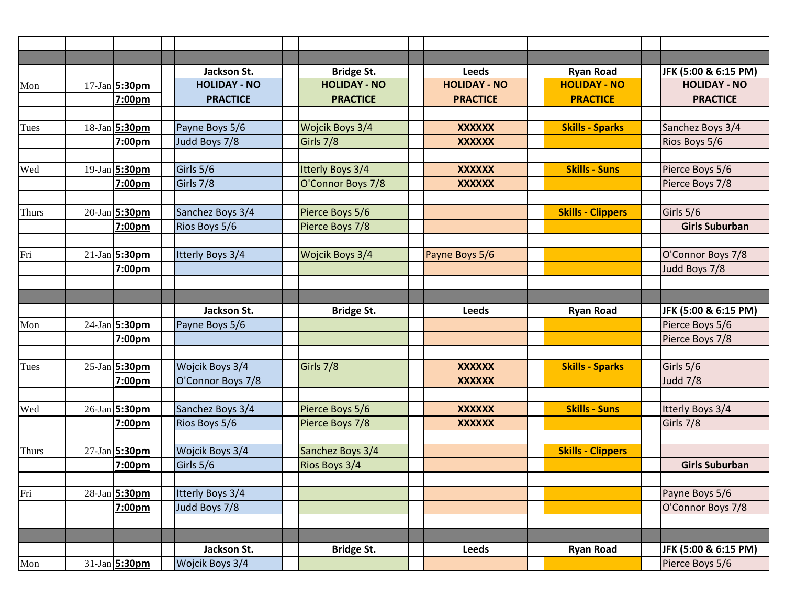|              |                             | Jackson St.         | <b>Bridge St.</b>       | <b>Leeds</b>        | <b>Ryan Road</b>         | JFK (5:00 & 6:15 PM)  |
|--------------|-----------------------------|---------------------|-------------------------|---------------------|--------------------------|-----------------------|
| Mon          | $17$ -Jan 5:30pm            | <b>HOLIDAY - NO</b> | <b>HOLIDAY - NO</b>     | <b>HOLIDAY - NO</b> | <b>HOLIDAY - NO</b>      | <b>HOLIDAY - NO</b>   |
|              | 7:00pm                      | <b>PRACTICE</b>     | <b>PRACTICE</b>         | <b>PRACTICE</b>     | <b>PRACTICE</b>          | <b>PRACTICE</b>       |
|              |                             |                     |                         |                     |                          |                       |
| Tues         | 18-Jan 5:30pm               | Payne Boys 5/6      | Wojcik Boys 3/4         | <b>XXXXXX</b>       | <b>Skills - Sparks</b>   | Sanchez Boys 3/4      |
|              | 7:00pm                      | Judd Boys 7/8       | Girls 7/8               | <b>XXXXXX</b>       |                          | Rios Boys 5/6         |
|              |                             |                     |                         |                     |                          |                       |
| Wed          | 19-Jan 5:30pm               | Girls 5/6           | <b>Itterly Boys 3/4</b> | <b>XXXXXX</b>       | <b>Skills - Suns</b>     | Pierce Boys 5/6       |
|              | 7:00pm                      | Girls 7/8           | O'Connor Boys 7/8       | <b>XXXXXX</b>       |                          | Pierce Boys 7/8       |
|              |                             |                     |                         |                     |                          |                       |
| <b>Thurs</b> | 20-Jan 5:30pm               | Sanchez Boys 3/4    | Pierce Boys 5/6         |                     | <b>Skills - Clippers</b> | Girls 5/6             |
|              | 7:00pm                      | Rios Boys 5/6       | Pierce Boys 7/8         |                     |                          | <b>Girls Suburban</b> |
|              |                             |                     |                         |                     |                          |                       |
| Fri          | 21-Jan 5:30pm               | Itterly Boys 3/4    | Wojcik Boys 3/4         | Payne Boys 5/6      |                          | O'Connor Boys 7/8     |
|              | 7:00pm                      |                     |                         |                     |                          | Judd Boys 7/8         |
|              |                             |                     |                         |                     |                          |                       |
|              |                             |                     |                         |                     |                          |                       |
|              |                             | Jackson St.         | <b>Bridge St.</b>       | <b>Leeds</b>        | <b>Ryan Road</b>         | JFK (5:00 & 6:15 PM)  |
| Mon          | $\overline{24}$ -Jan 5:30pm | Payne Boys 5/6      |                         |                     |                          | Pierce Boys 5/6       |
|              | 7:00pm                      |                     |                         |                     |                          | Pierce Boys 7/8       |
|              |                             |                     |                         |                     |                          |                       |
| Tues         | $25 - Jan$ 5:30pm           | Wojcik Boys 3/4     | Girls 7/8               | <b>XXXXXX</b>       | <b>Skills - Sparks</b>   | Girls 5/6             |
|              | 7:00pm                      | O'Connor Boys 7/8   |                         | <b>XXXXXX</b>       |                          | <b>Judd 7/8</b>       |
|              |                             |                     |                         |                     |                          |                       |
| Wed          | 26-Jan 5:30pm               | Sanchez Boys 3/4    | Pierce Boys 5/6         | <b>XXXXXX</b>       | <b>Skills - Suns</b>     | Itterly Boys 3/4      |
|              | 7:00pm                      | Rios Boys 5/6       | Pierce Boys 7/8         | <b>XXXXXX</b>       |                          | Girls 7/8             |
|              |                             |                     |                         |                     |                          |                       |
| <b>Thurs</b> | $27$ -Jan 5:30pm            | Wojcik Boys 3/4     | Sanchez Boys 3/4        |                     | <b>Skills - Clippers</b> |                       |
|              | 7:00pm                      | Girls 5/6           | Rios Boys 3/4           |                     |                          | <b>Girls Suburban</b> |
|              |                             |                     |                         |                     |                          |                       |
| Fri          | 28-Jan 5:30pm               | Itterly Boys 3/4    |                         |                     |                          | Payne Boys 5/6        |
|              | 7:00pm                      | Judd Boys 7/8       |                         |                     |                          | O'Connor Boys 7/8     |
|              |                             |                     |                         |                     |                          |                       |
|              |                             |                     |                         |                     |                          |                       |
|              |                             | Jackson St.         | <b>Bridge St.</b>       | Leeds               | <b>Ryan Road</b>         | JFK (5:00 & 6:15 PM)  |
| Mon          | 31-Jan 5:30pm               | Wojcik Boys 3/4     |                         |                     |                          | Pierce Boys 5/6       |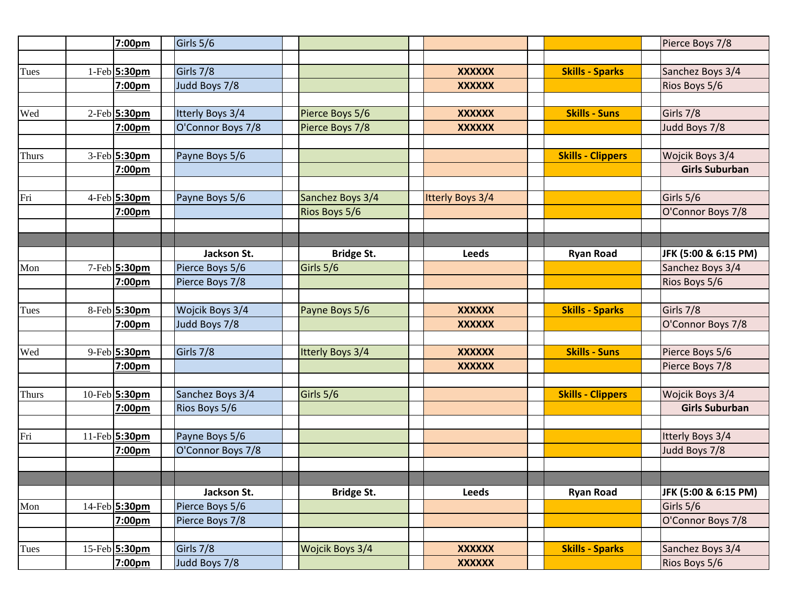|              | 7:00pm           | Girls 5/6         |                   |                  |                          | Pierce Boys 7/8       |
|--------------|------------------|-------------------|-------------------|------------------|--------------------------|-----------------------|
|              |                  |                   |                   |                  |                          |                       |
| Tues         | 1-Feb 5:30pm     | Girls 7/8         |                   | <b>XXXXXX</b>    | <b>Skills - Sparks</b>   | Sanchez Boys 3/4      |
|              | 7:00pm           | Judd Boys 7/8     |                   | <b>XXXXXX</b>    |                          | Rios Boys 5/6         |
|              |                  |                   |                   |                  |                          |                       |
| Wed          | 2-Feb 5:30pm     | Itterly Boys 3/4  | Pierce Boys 5/6   | <b>XXXXXX</b>    | <b>Skills - Suns</b>     | Girls 7/8             |
|              | 7:00pm           | O'Connor Boys 7/8 | Pierce Boys 7/8   | <b>XXXXXX</b>    |                          | Judd Boys 7/8         |
|              |                  |                   |                   |                  |                          |                       |
| <b>Thurs</b> | 3-Feb 5:30pm     | Payne Boys 5/6    |                   |                  | <b>Skills - Clippers</b> | Wojcik Boys 3/4       |
|              | 7:00pm           |                   |                   |                  |                          | <b>Girls Suburban</b> |
|              |                  |                   |                   |                  |                          |                       |
| Fri          | 4-Feb 5:30pm     | Payne Boys 5/6    | Sanchez Boys 3/4  | Itterly Boys 3/4 |                          | Girls 5/6             |
|              | 7:00pm           |                   | Rios Boys 5/6     |                  |                          | O'Connor Boys 7/8     |
|              |                  |                   |                   |                  |                          |                       |
|              |                  |                   |                   |                  |                          |                       |
|              |                  | Jackson St.       | <b>Bridge St.</b> | <b>Leeds</b>     | <b>Ryan Road</b>         | JFK (5:00 & 6:15 PM)  |
| Mon          | 7-Feb 5:30pm     | Pierce Boys 5/6   | Girls 5/6         |                  |                          | Sanchez Boys 3/4      |
|              | 7:00pm           | Pierce Boys 7/8   |                   |                  |                          | Rios Boys 5/6         |
|              |                  |                   |                   |                  |                          |                       |
| Tues         | 8-Feb 5:30pm     | Wojcik Boys 3/4   | Payne Boys 5/6    | <b>XXXXXX</b>    | <b>Skills - Sparks</b>   | Girls 7/8             |
|              | 7:00pm           | Judd Boys 7/8     |                   | <b>XXXXXX</b>    |                          | O'Connor Boys 7/8     |
|              |                  |                   |                   |                  |                          |                       |
| Wed          | 9-Feb 5:30pm     | Girls 7/8         | Itterly Boys 3/4  | <b>XXXXXX</b>    | <b>Skills - Suns</b>     | Pierce Boys 5/6       |
|              | 7:00pm           |                   |                   | <b>XXXXXX</b>    |                          | Pierce Boys 7/8       |
|              |                  |                   |                   |                  |                          |                       |
| <b>Thurs</b> | 10-Feb 5:30pm    | Sanchez Boys 3/4  | Girls 5/6         |                  | <b>Skills - Clippers</b> | Wojcik Boys 3/4       |
|              | 7:00pm           | Rios Boys 5/6     |                   |                  |                          | <b>Girls Suburban</b> |
|              |                  |                   |                   |                  |                          |                       |
| Fri          | 11-Feb 5:30pm    | Payne Boys 5/6    |                   |                  |                          | Itterly Boys 3/4      |
|              | 7:00pm           | O'Connor Boys 7/8 |                   |                  |                          | Judd Boys 7/8         |
|              |                  |                   |                   |                  |                          |                       |
|              |                  |                   |                   |                  |                          |                       |
|              |                  | Jackson St.       | <b>Bridge St.</b> | Leeds            | <b>Ryan Road</b>         | JFK (5:00 & 6:15 PM)  |
| Mon          | $14$ -Feb 5:30pm | Pierce Boys 5/6   |                   |                  |                          | Girls 5/6             |
|              | 7:00pm           | Pierce Boys 7/8   |                   |                  |                          | O'Connor Boys 7/8     |
|              |                  |                   |                   |                  |                          |                       |
| Tues         | 15-Feb 5:30pm    | Girls 7/8         | Wojcik Boys 3/4   | <b>XXXXXX</b>    | <b>Skills - Sparks</b>   | Sanchez Boys 3/4      |
|              | 7:00pm           | Judd Boys 7/8     |                   | <b>XXXXXX</b>    |                          | Rios Boys 5/6         |